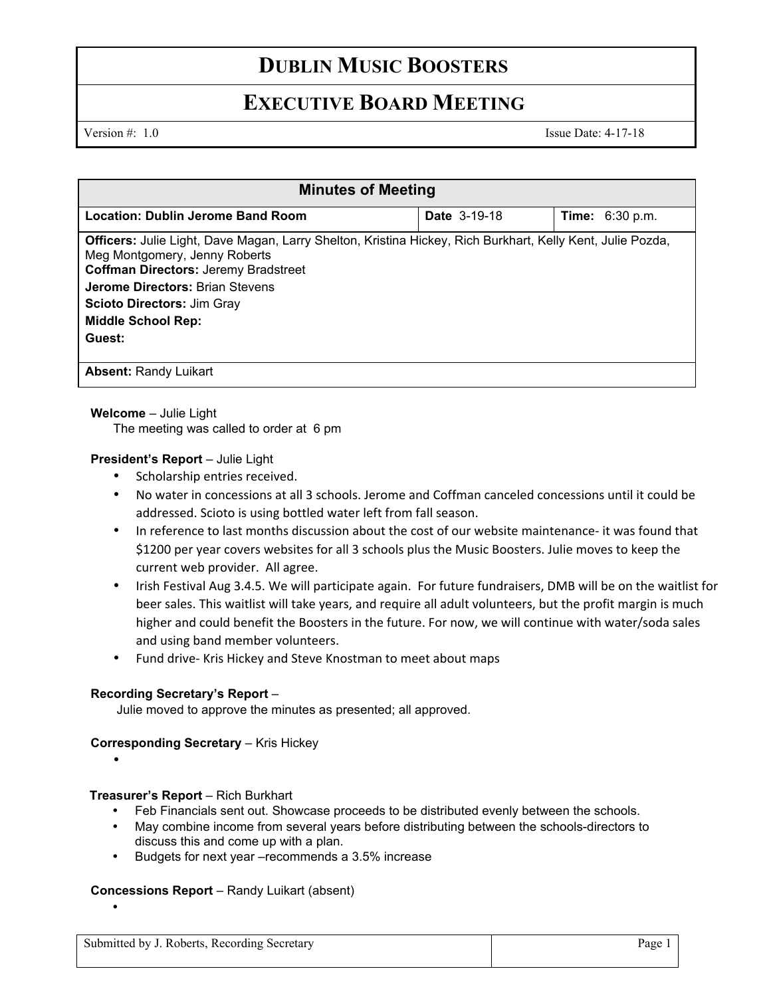# **DUBLIN MUSIC BOOSTERS**

## **EXECUTIVE BOARD MEETING**

Version #: 1.0 Issue Date: 4-17-18

| <b>Minutes of Meeting</b>                                                                                                                                                                                                                                                                                               |                     |                                  |
|-------------------------------------------------------------------------------------------------------------------------------------------------------------------------------------------------------------------------------------------------------------------------------------------------------------------------|---------------------|----------------------------------|
| <b>Location: Dublin Jerome Band Room</b>                                                                                                                                                                                                                                                                                | <b>Date 3-19-18</b> | <b>Time:</b> $6:30 \text{ p.m.}$ |
| <b>Officers:</b> Julie Light, Dave Magan, Larry Shelton, Kristina Hickey, Rich Burkhart, Kelly Kent, Julie Pozda,<br>Meg Montgomery, Jenny Roberts<br><b>Coffman Directors: Jeremy Bradstreet</b><br><b>Jerome Directors: Brian Stevens</b><br><b>Scioto Directors: Jim Gray</b><br><b>Middle School Rep:</b><br>Guest: |                     |                                  |
| <b>Absent: Randy Luikart</b>                                                                                                                                                                                                                                                                                            |                     |                                  |

### **Welcome** – Julie Light

The meeting was called to order at 6 pm

### **President's Report - Julie Light**

- Scholarship entries received.
- No water in concessions at all 3 schools. Jerome and Coffman canceled concessions until it could be addressed. Scioto is using bottled water left from fall season.
- In reference to last months discussion about the cost of our website maintenance- it was found that \$1200 per year covers websites for all 3 schools plus the Music Boosters. Julie moves to keep the current web provider. All agree.
- Irish Festival Aug 3.4.5. We will participate again. For future fundraisers, DMB will be on the waitlist for beer sales. This waitlist will take years, and require all adult volunteers, but the profit margin is much higher and could benefit the Boosters in the future. For now, we will continue with water/soda sales and using band member volunteers.
- Fund drive- Kris Hickey and Steve Knostman to meet about maps

### **Recording Secretary's Report** –

Julie moved to approve the minutes as presented; all approved.

### **Corresponding Secretary – Kris Hickey**

•

•

### **Treasurer's Report** – Rich Burkhart

- Feb Financials sent out. Showcase proceeds to be distributed evenly between the schools.
- May combine income from several years before distributing between the schools-directors to discuss this and come up with a plan.
- Budgets for next year –recommends a 3.5% increase

### **Concessions Report** – Randy Luikart (absent)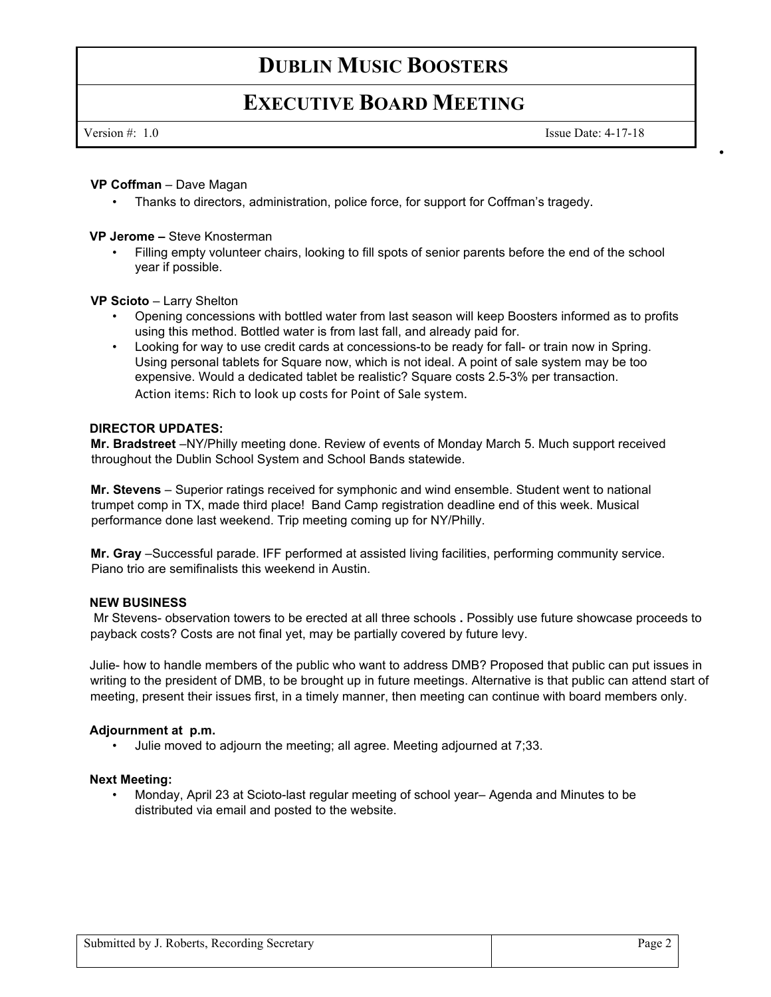# **DUBLIN MUSIC BOOSTERS**

## **EXECUTIVE BOARD MEETING**

Version #: 1.0 Issue Date: 4-17-18

•

### **VP Coffman** – Dave Magan

• Thanks to directors, administration, police force, for support for Coffman's tragedy.

### **VP Jerome –** Steve Knosterman

• Filling empty volunteer chairs, looking to fill spots of senior parents before the end of the school year if possible.

### **VP Scioto** – Larry Shelton

- Opening concessions with bottled water from last season will keep Boosters informed as to profits using this method. Bottled water is from last fall, and already paid for.
- Looking for way to use credit cards at concessions-to be ready for fall- or train now in Spring. Using personal tablets for Square now, which is not ideal. A point of sale system may be too expensive. Would a dedicated tablet be realistic? Square costs 2.5-3% per transaction. Action items: Rich to look up costs for Point of Sale system.

### **DIRECTOR UPDATES:**

**Mr. Bradstreet** –NY/Philly meeting done. Review of events of Monday March 5. Much support received throughout the Dublin School System and School Bands statewide.

**Mr. Stevens** – Superior ratings received for symphonic and wind ensemble. Student went to national trumpet comp in TX, made third place! Band Camp registration deadline end of this week. Musical performance done last weekend. Trip meeting coming up for NY/Philly.

**Mr. Gray** –Successful parade. IFF performed at assisted living facilities, performing community service. Piano trio are semifinalists this weekend in Austin.

### **NEW BUSINESS**

Mr Stevens- observation towers to be erected at all three schools **.** Possibly use future showcase proceeds to payback costs? Costs are not final yet, may be partially covered by future levy.

Julie- how to handle members of the public who want to address DMB? Proposed that public can put issues in writing to the president of DMB, to be brought up in future meetings. Alternative is that public can attend start of meeting, present their issues first, in a timely manner, then meeting can continue with board members only.

### **Adjournment at p.m.**

• Julie moved to adjourn the meeting; all agree. Meeting adjourned at 7;33.

### **Next Meeting:**

• Monday, April 23 at Scioto-last regular meeting of school year– Agenda and Minutes to be distributed via email and posted to the website.